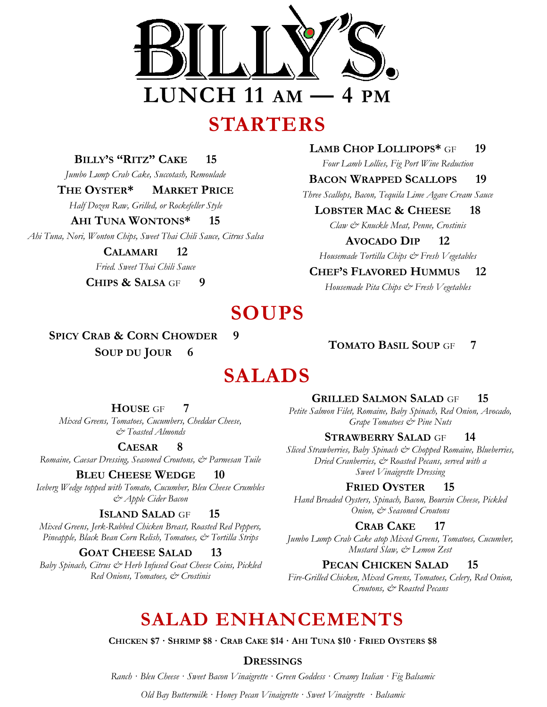

**BILLY'S "RITZ" CAKE 15**

*Jumbo Lump Crab Cake, Succotash, Remoulade*

### **THE OYSTER\* MARKET PRICE**

*Half Dozen Raw, Grilled, or Rockefeller Style*

### **AHI TUNA WONTONS\* 15**

*Ahi Tuna, Nori, Wonton Chips, Sweet Thai Chili Sauce, Citrus Salsa*

**CALAMARI 12** *Fried. Sweet Thai Chili Sauce*

**CHIPS & SALSA** GF **9**

## **LAMB CHOP LOLLIPOPS\*** GF **19**

*Four Lamb Lollies, Fig Port Wine Reduction*

### **BACON WRAPPED SCALLOPS 19**

*Three Scallops, Bacon, Tequila Lime Agave Cream Sauce*

### **LOBSTER MAC & CHEESE 18**

*Claw & Knuckle Meat, Penne, Crostinis*

### **AVOCADO DIP 12**

*Housemade Tortilla Chips & Fresh Vegetables*

### **CHEF'S FLAVORED HUMMUS 12**

*Housemade Pita Chips & Fresh Vegetables*

# **SOUPS**

**SPICY CRAB & CORN CHOWDER 9 SOUP DU JOUR 6**

# **SALADS**

**HOUSE** GF **7** *Mixed Greens, Tomatoes, Cucumbers, Cheddar Cheese, & Toasted Almonds*

### **CAESAR 8**

*Romaine, Caesar Dressing, Seasoned Croutons, & Parmesan Tuile* 

### **BLEU CHEESE WEDGE 10**

*Iceberg Wedge topped with Tomato, Cucumber, Bleu Cheese Crumbles & Apple Cider Bacon*

### **ISLAND SALAD** GF **15**

*Mixed Greens, Jerk-Rubbed Chicken Breast, Roasted Red Peppers, Pineapple, Black Bean Corn Relish, Tomatoes, & Tortilla Strips*

### **GOAT CHEESE SALAD 13**

*Baby Spinach, Citrus & Herb Infused Goat Cheese Coins, Pickled Red Onions, Tomatoes, & Crostinis*

**TOMATO BASIL SOUP** GF **7**

### **GRILLED SALMON SALAD** GF **15**

*Petite Salmon Filet, Romaine, Baby Spinach, Red Onion, Avocado, Grape Tomatoes & Pine Nuts*

### **STRAWBERRY SALAD** GF **14**

*Sliced Strawberries, Baby Spinach & Chopped Romaine, Blueberries, Dried Cranberries, & Roasted Pecans, served with a Sweet Vinaigrette Dressing*

### **FRIED OYSTER 15**

*Hand Breaded Oysters, Spinach, Bacon, Boursin Cheese, Pickled Onion, & Seasoned Croutons*

### **CRAB CAKE 17**

*Jumbo Lump Crab Cake atop Mixed Greens, Tomatoes, Cucumber, Mustard Slaw, & Lemon Zest* 

### **PECAN CHICKEN SALAD 15**

*Fire-Grilled Chicken, Mixed Greens, Tomatoes, Celery, Red Onion, Croutons, & Roasted Pecans*

# **SALAD ENHANCEMENTS**

**CHICKEN \$7 · SHRIMP \$8 · CRAB CAKE \$14 · AHI TUNA \$10 · FRIED OYSTERS \$8**

### **DRESSINGS**

*Ranch · Bleu Cheese · Sweet Bacon Vinaigrette · Green Goddess · Creamy Italian · Fig Balsamic*

*Old Bay Buttermilk · Honey Pecan Vinaigrette · Sweet Vinaigrette · Balsamic*